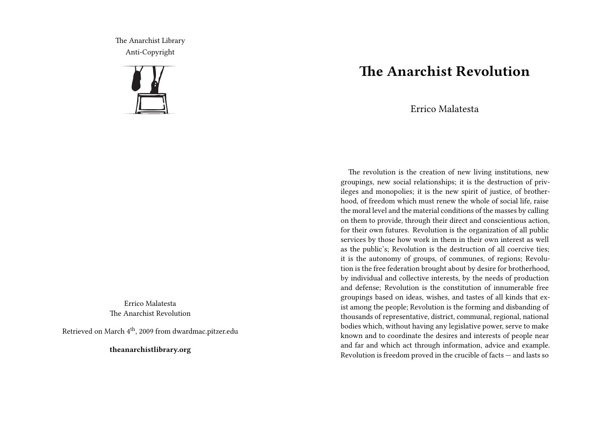The Anarchist Library Anti-Copyright



Errico Malatesta The Anarchist Revolution

Retrieved on March 4th, 2009 from dwardmac.pitzer.edu

**theanarchistlibrary.org**

## **The Anarchist Revolution**

Errico Malatesta

The revolution is the creation of new living institutions, new groupings, new social relationships; it is the destruction of privileges and monopolies; it is the new spirit of justice, of brotherhood, of freedom which must renew the whole of social life, raise the moral level and the material conditions of the masses by calling on them to provide, through their direct and conscientious action, for their own futures. Revolution is the organization of all public services by those how work in them in their own interest as well as the public's; Revolution is the destruction of all coercive ties; it is the autonomy of groups, of communes, of regions; Revolution is the free federation brought about by desire for brotherhood, by individual and collective interests, by the needs of production and defense; Revolution is the constitution of innumerable free groupings based on ideas, wishes, and tastes of all kinds that exist among the people; Revolution is the forming and disbanding of thousands of representative, district, communal, regional, national bodies which, without having any legislative power, serve to make known and to coordinate the desires and interests of people near and far and which act through information, advice and example. Revolution is freedom proved in the crucible of facts — and lasts so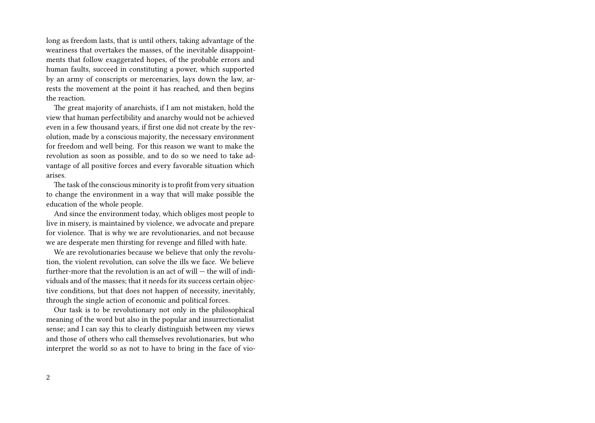long as freedom lasts, that is until others, taking advantage of the weariness that overtakes the masses, of the inevitable disappointments that follow exaggerated hopes, of the probable errors and human faults, succeed in constituting a power, which supported by an army of conscripts or mercenaries, lays down the law, arrests the movement at the point it has reached, and then begins the reaction.

The great majority of anarchists, if I am not mistaken, hold the view that human perfectibility and anarchy would not be achieved even in a few thousand years, if first one did not create by the revolution, made by a conscious majority, the necessary environment for freedom and well being. For this reason we want to make the revolution as soon as possible, and to do so we need to take advantage of all positive forces and every favorable situation which arises.

The task of the conscious minority is to profit from very situation to change the environment in a way that will make possible the education of the whole people.

And since the environment today, which obliges most people to live in misery, is maintained by violence, we advocate and prepare for violence. That is why we are revolutionaries, and not because we are desperate men thirsting for revenge and filled with hate.

We are revolutionaries because we believe that only the revolution, the violent revolution, can solve the ills we face. We believe further-more that the revolution is an act of will  $-$  the will of individuals and of the masses; that it needs for its success certain objective conditions, but that does not happen of necessity, inevitably, through the single action of economic and political forces.

Our task is to be revolutionary not only in the philosophical meaning of the word but also in the popular and insurrectionalist sense; and I can say this to clearly distinguish between my views and those of others who call themselves revolutionaries, but who interpret the world so as not to have to bring in the face of vio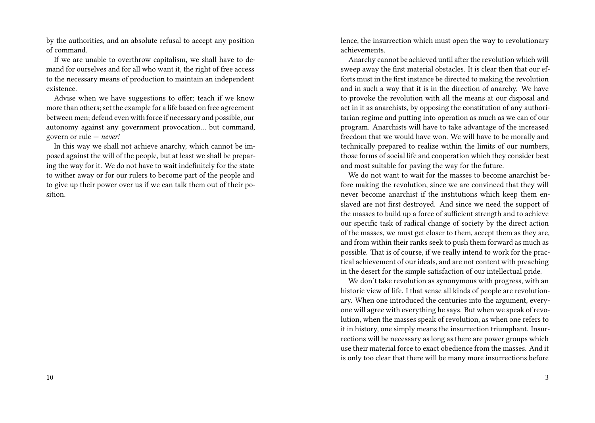by the authorities, and an absolute refusal to accept any position of command.

If we are unable to overthrow capitalism, we shall have to demand for ourselves and for all who want it, the right of free access to the necessary means of production to maintain an independent existence.

Advise when we have suggestions to offer; teach if we know more than others; set the example for a life based on free agreement between men; defend even with force if necessary and possible, our autonomy against any government provocation… but command, govern or rule — *never!*

In this way we shall not achieve anarchy, which cannot be imposed against the will of the people, but at least we shall be preparing the way for it. We do not have to wait indefinitely for the state to wither away or for our rulers to become part of the people and to give up their power over us if we can talk them out of their position.

lence, the insurrection which must open the way to revolutionary achievements.

Anarchy cannot be achieved until after the revolution which will sweep away the first material obstacles. It is clear then that our efforts must in the first instance be directed to making the revolution and in such a way that it is in the direction of anarchy. We have to provoke the revolution with all the means at our disposal and act in it as anarchists, by opposing the constitution of any authoritarian regime and putting into operation as much as we can of our program. Anarchists will have to take advantage of the increased freedom that we would have won. We will have to be morally and technically prepared to realize within the limits of our numbers, those forms of social life and cooperation which they consider best and most suitable for paving the way for the future.

We do not want to wait for the masses to become anarchist before making the revolution, since we are convinced that they will never become anarchist if the institutions which keep them enslaved are not first destroyed. And since we need the support of the masses to build up a force of sufficient strength and to achieve our specific task of radical change of society by the direct action of the masses, we must get closer to them, accept them as they are, and from within their ranks seek to push them forward as much as possible. That is of course, if we really intend to work for the practical achievement of our ideals, and are not content with preaching in the desert for the simple satisfaction of our intellectual pride.

We don't take revolution as synonymous with progress, with an historic view of life. I that sense all kinds of people are revolutionary. When one introduced the centuries into the argument, everyone will agree with everything he says. But when we speak of revolution, when the masses speak of revolution, as when one refers to it in history, one simply means the insurrection triumphant. Insurrections will be necessary as long as there are power groups which use their material force to exact obedience from the masses. And it is only too clear that there will be many more insurrections before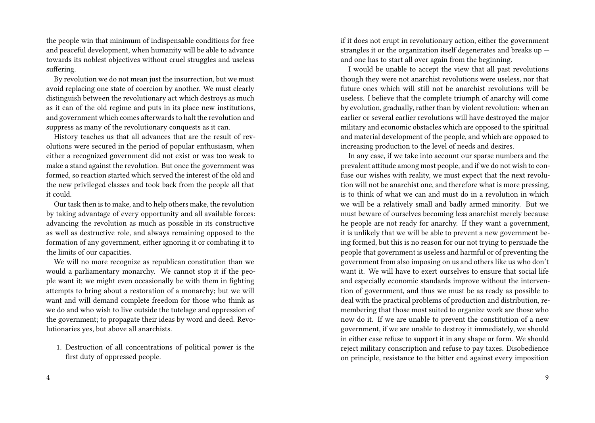the people win that minimum of indispensable conditions for free and peaceful development, when humanity will be able to advance towards its noblest objectives without cruel struggles and useless suffering.

By revolution we do not mean just the insurrection, but we must avoid replacing one state of coercion by another. We must clearly distinguish between the revolutionary act which destroys as much as it can of the old regime and puts in its place new institutions, and government which comes afterwards to halt the revolution and suppress as many of the revolutionary conquests as it can.

History teaches us that all advances that are the result of revolutions were secured in the period of popular enthusiasm, when either a recognized government did not exist or was too weak to make a stand against the revolution. But once the government was formed, so reaction started which served the interest of the old and the new privileged classes and took back from the people all that it could.

Our task then is to make, and to help others make, the revolution by taking advantage of every opportunity and all available forces: advancing the revolution as much as possible in its constructive as well as destructive role, and always remaining opposed to the formation of any government, either ignoring it or combating it to the limits of our capacities.

We will no more recognize as republican constitution than we would a parliamentary monarchy. We cannot stop it if the people want it; we might even occasionally be with them in fighting attempts to bring about a restoration of a monarchy; but we will want and will demand complete freedom for those who think as we do and who wish to live outside the tutelage and oppression of the government; to propagate their ideas by word and deed. Revolutionaries yes, but above all anarchists.

1. Destruction of all concentrations of political power is the first duty of oppressed people.

if it does not erupt in revolutionary action, either the government strangles it or the organization itself degenerates and breaks up and one has to start all over again from the beginning.

I would be unable to accept the view that all past revolutions though they were not anarchist revolutions were useless, nor that future ones which will still not be anarchist revolutions will be useless. I believe that the complete triumph of anarchy will come by evolution, gradually, rather than by violent revolution: when an earlier or several earlier revolutions will have destroyed the major military and economic obstacles which are opposed to the spiritual and material development of the people, and which are opposed to increasing production to the level of needs and desires.

In any case, if we take into account our sparse numbers and the prevalent attitude among most people, and if we do not wish to confuse our wishes with reality, we must expect that the next revolution will not be anarchist one, and therefore what is more pressing, is to think of what we can and must do in a revolution in which we will be a relatively small and badly armed minority. But we must beware of ourselves becoming less anarchist merely because he people are not ready for anarchy. If they want a government, it is unlikely that we will be able to prevent a new government being formed, but this is no reason for our not trying to persuade the people that government is useless and harmful or of preventing the government from also imposing on us and others like us who don't want it. We will have to exert ourselves to ensure that social life and especially economic standards improve without the intervention of government, and thus we must be as ready as possible to deal with the practical problems of production and distribution, remembering that those most suited to organize work are those who now do it. If we are unable to prevent the constitution of a new government, if we are unable to destroy it immediately, we should in either case refuse to support it in any shape or form. We should reject military conscription and refuse to pay taxes. Disobedience on principle, resistance to the bitter end against every imposition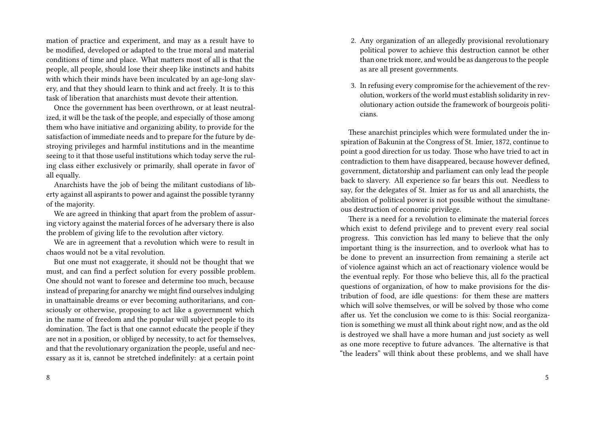mation of practice and experiment, and may as a result have to be modified, developed or adapted to the true moral and material conditions of time and place. What matters most of all is that the people, all people, should lose their sheep like instincts and habits with which their minds have been inculcated by an age-long slavery, and that they should learn to think and act freely. It is to this task of liberation that anarchists must devote their attention.

Once the government has been overthrown, or at least neutralized, it will be the task of the people, and especially of those among them who have initiative and organizing ability, to provide for the satisfaction of immediate needs and to prepare for the future by destroying privileges and harmful institutions and in the meantime seeing to it that those useful institutions which today serve the ruling class either exclusively or primarily, shall operate in favor of all equally.

Anarchists have the job of being the militant custodians of liberty against all aspirants to power and against the possible tyranny of the majority.

We are agreed in thinking that apart from the problem of assuring victory against the material forces of he adversary there is also the problem of giving life to the revolution after victory.

We are in agreement that a revolution which were to result in chaos would not be a vital revolution.

But one must not exaggerate, it should not be thought that we must, and can find a perfect solution for every possible problem. One should not want to foresee and determine too much, because instead of preparing for anarchy we might find ourselves indulging in unattainable dreams or ever becoming authoritarians, and consciously or otherwise, proposing to act like a government which in the name of freedom and the popular will subject people to its domination. The fact is that one cannot educate the people if they are not in a position, or obliged by necessity, to act for themselves, and that the revolutionary organization the people, useful and necessary as it is, cannot be stretched indefinitely: at a certain point

8

- 2. Any organization of an allegedly provisional revolutionary political power to achieve this destruction cannot be other than one trick more, and would be as dangerous to the people as are all present governments.
- 3. In refusing every compromise for the achievement of the revolution, workers of the world must establish solidarity in revolutionary action outside the framework of bourgeois politicians.

These anarchist principles which were formulated under the inspiration of Bakunin at the Congress of St. Imier, 1872, continue to point a good direction for us today. Those who have tried to act in contradiction to them have disappeared, because however defined, government, dictatorship and parliament can only lead the people back to slavery. All experience so far bears this out. Needless to say, for the delegates of St. Imier as for us and all anarchists, the abolition of political power is not possible without the simultaneous destruction of economic privilege.

There is a need for a revolution to eliminate the material forces which exist to defend privilege and to prevent every real social progress. This conviction has led many to believe that the only important thing is the insurrection, and to overlook what has to be done to prevent an insurrection from remaining a sterile act of violence against which an act of reactionary violence would be the eventual reply. For those who believe this, all fo the practical questions of organization, of how to make provisions for the distribution of food, are idle questions: for them these are matters which will solve themselves, or will be solved by those who come after us. Yet the conclusion we come to is this: Social reorganization is something we must all think about right now, and as the old is destroyed we shall have a more human and just society as well as one more receptive to future advances. The alternative is that "the leaders" will think about these problems, and we shall have